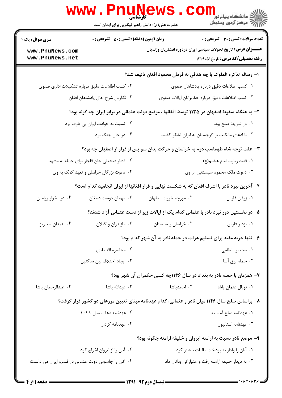|                                                                                               | <b>WWW.PNUN</b><br><b>کارشناسی</b><br>حضرت علی(ع): دانش راهبر نیکویی برای ایمان است         |                                                                                             | ڪ دانشڪاه پيام نور<br>ا∛ مرڪز آزمون وسنڊش                                                                        |  |  |
|-----------------------------------------------------------------------------------------------|---------------------------------------------------------------------------------------------|---------------------------------------------------------------------------------------------|------------------------------------------------------------------------------------------------------------------|--|--|
| سری سوال: یک ۱                                                                                | <b>زمان آزمون (دقیقه) : تستی : 50 ٪ تشریحی : 0</b>                                          |                                                                                             | تعداد سوالات : تستي : 30 ٪ تشريحي : 0                                                                            |  |  |
| www.PnuNews.com<br>www.PnuNews.net                                                            |                                                                                             |                                                                                             | <b>عنـــوان درس:</b> تاریخ تحولات سیاسی ایران دردوره افشاریان وزندیان<br><b>رشته تحصیلی/کد درس:</b> تاریخ1۲۲۹۰۵۱ |  |  |
|                                                                                               |                                                                                             | ا– رساله تذکره الملوک با چه هدفی به فرمان محمود افغان تالیف شد؟                             |                                                                                                                  |  |  |
|                                                                                               | ۰۲ کسب اطلاعات دقیق درباره تشکیلات اداری صفوی                                               |                                                                                             | ٠١ كسب اطلاعات دقيق درباره پادشاهان صفوى                                                                         |  |  |
|                                                                                               | ۰۴ نگارش شرح حال پادشاهان افغان                                                             | ۰۳ کسب اطلاعات دقیق درباره حکمرانان ایالات صفوی                                             |                                                                                                                  |  |  |
|                                                                                               | ۲- به هنگام سقوط اصفهان در ۱۱۳۵ توسط افغانها ، موضع دولت عثمانی در برابر ایران چه گونه بود؟ |                                                                                             |                                                                                                                  |  |  |
| ۰۲ نسبت به حوادث ایران بی طرف بود                                                             |                                                                                             | ٠١ در شرايط صلح بود.                                                                        |                                                                                                                  |  |  |
|                                                                                               | ۰۴ در حال جنگ بود.                                                                          | ۰۳ با ادعای مالکیت بر گرجستان به ایران لشکر کشید.                                           |                                                                                                                  |  |  |
| ۳- علت توجه شاه طهماسب دوم به خراسان و حرکت بدان سو پس از فرار از اصفهان چه بود؟              |                                                                                             |                                                                                             |                                                                                                                  |  |  |
| ۰۲ فشار فتحعلی خان قاجار برای حمله به مشهد                                                    |                                                                                             | ۰۱ قصد زیارت امام هشتم(ع)                                                                   |                                                                                                                  |  |  |
|                                                                                               | ۰۳ دعوت ملک محمود سیستانی از وی<br>۰۴ دعوت بزرگان خراسان و تعهد کمک به وی                   |                                                                                             |                                                                                                                  |  |  |
|                                                                                               |                                                                                             | ۴- آخرین نبرد نادر با اشرف افغان که به شکست نهایی و فرار افغانها از ایران انجامید کدام است؟ |                                                                                                                  |  |  |
| ۰۴ دره خوار ورامين                                                                            | ۰۳ مهمان دوست دامغان                                                                        | ۰۲ مورچه خورت اصفهان                                                                        | ۰۱ زرقان فارس                                                                                                    |  |  |
|                                                                                               |                                                                                             | ۵– در نخستین دور نبرد نادر با عثمانی کدام یک از ایالات زیر از دست عثمانی آزاد شدند؟         |                                                                                                                  |  |  |
| ۰۴ همدان - تبريز                                                                              | ۰۳ مازندران و گیلان                                                                         | ۰۲ خراسان و سیستان                                                                          | ۰۱ يزد و فارس                                                                                                    |  |  |
|                                                                                               |                                                                                             | ۶- تنها حربه مفید برای تسلیم هرات در حمله نادر به آن شهر کدام بود؟                          |                                                                                                                  |  |  |
|                                                                                               | ۰۲ محاصره اقتصادی                                                                           |                                                                                             | ۰۱ محاصره نظامی                                                                                                  |  |  |
|                                                                                               | ۰۴ ایجاد اختلاف بین ساکنین                                                                  |                                                                                             | ۰۳ حمله برق آسا                                                                                                  |  |  |
|                                                                                               |                                                                                             | ۷- همزمان با حمله نادر به بغداد در سال ۱۱۴۶چه کسی حکمران آن شهر بود؟                        |                                                                                                                  |  |  |
| ۰۴ عبدالرحمان پاشا                                                                            | ۰۳ عبدالله پاشا                                                                             | ۰۲ احمدپاشا                                                                                 | ۰۱ توپال عثمان پاشا                                                                                              |  |  |
| ۸– براساس صلح سال ۱۱۴۶ میان نادر و عثمانی، کدام عهدنامه مبنای تعیین مرزهای دو کشور قرار گرفت؟ |                                                                                             |                                                                                             |                                                                                                                  |  |  |
|                                                                                               | ۰۲ عهدنامه ذهاب سال ۱۰۴۹                                                                    |                                                                                             | ٠١. عهدنامه صلح آماسيه                                                                                           |  |  |
|                                                                                               | ۰۴ عهدنامه کردان                                                                            |                                                                                             | ٠٣ عهدنامه استانبول                                                                                              |  |  |
|                                                                                               |                                                                                             | ۹- موضع نادر نسبت به ارامنه ایروان و خلیفه ارامنه چگونه بود؟                                |                                                                                                                  |  |  |
|                                                                                               | ۰۲ آنان را از ایروان اخراج کرد.                                                             |                                                                                             | ۰۱ آنان را وادار به پرداخت مالیات بیشتر کرد.                                                                     |  |  |
|                                                                                               | ۰۴ آنان را جاسوس دولت عثمانی در قلمرو ایران می دانست                                        |                                                                                             | ۰۳ به دیدار خلیفه ارامنه رفت و امتیازاتی بدانان داد                                                              |  |  |
|                                                                                               |                                                                                             |                                                                                             |                                                                                                                  |  |  |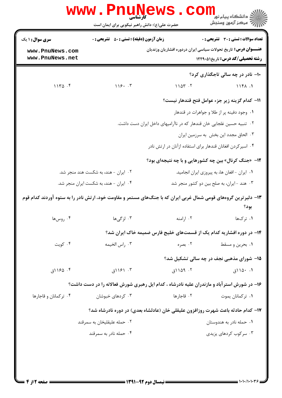| <b>سری سوال :</b> ۱ یک                                                               | <b>زمان آزمون (دقیقه) : تستی : 50 ٪ تشریحی : 0</b>                                                              |                                                                       | تعداد سوالات : تستي : 30 ٪ تشريحي : 0           |  |  |
|--------------------------------------------------------------------------------------|-----------------------------------------------------------------------------------------------------------------|-----------------------------------------------------------------------|-------------------------------------------------|--|--|
| www.PnuNews.com<br>www.PnuNews.net                                                   |                                                                                                                 | <b>عنـــوان درس:</b> تاریخ تحولات سیاسی ایران دردوره افشاریان وزندیان | <b>رشته تحصیلی/کد درس:</b> تاریخ۱۲۲۹۰۵۱         |  |  |
|                                                                                      |                                                                                                                 |                                                                       | ۱۰– نادر در چه سالی تاجگذاری کرد؟               |  |  |
| 1140.5                                                                               | 118.7                                                                                                           | 1104.7                                                                | 118A.1                                          |  |  |
|                                                                                      |                                                                                                                 |                                                                       | 11– كدام گزينه زير جزء عوامل فتح قندهار نيست؟   |  |  |
|                                                                                      |                                                                                                                 |                                                                       | ۰۱ وجود دفینه پر از طلا و جواهرات در قندهار     |  |  |
| ۰۲ تنبیه حسین غلجایی خان قندهار که در ناآرامیهای داخل ایران دست داشت.                |                                                                                                                 |                                                                       |                                                 |  |  |
| ٠٣ الحاق مجدد اين بخش به سرزمين ايران                                                |                                                                                                                 |                                                                       |                                                 |  |  |
|                                                                                      | ۰۴ اسیر کردن افغانان قندهار برای استفاده ازآنان در ارتش نادر                                                    |                                                                       |                                                 |  |  |
|                                                                                      |                                                                                                                 | ۱۲- «جنگ کرنال» بین چه کشورهایی و با چه نتیجهای بود؟                  |                                                 |  |  |
| ٠١ ايران -افغان ها، به پيروزي ايران انجاميد.<br>۰۲ ایران - هند، به شکست هند منجر شد. |                                                                                                                 |                                                                       |                                                 |  |  |
|                                                                                      | ۰۴ ایران - هند، به شکست ایران منجر شد.                                                                          | ۰۳ هند -ایران، به صلح بین دو کشور منجر شد                             |                                                 |  |  |
|                                                                                      | ۱۳- دلیرترین گروههای قومی شمال غربی ایران که با جنگهای مستمر و مقاومت خود، ارتش نادر را به ستوه آوردند کدام قوم |                                                                       | بود؟                                            |  |  |
| ۰۴ روسها                                                                             | ۰۳ لزگیها                                                                                                       | ۰۲ ارامنه                                                             | ۰۱ تر ک.ها                                      |  |  |
|                                                                                      |                                                                                                                 | ۱۴- در دوره افشاریه کدام یک از قسمتهای خلیج فارس ضمیمه خاک ایران شد؟  |                                                 |  |  |
| ۰۴ کویت                                                                              | ۰۳ راس الخيمه                                                                                                   | ۰۲ بصره                                                               | ۰۱ بحرین و مسقط                                 |  |  |
|                                                                                      |                                                                                                                 |                                                                       | <b>۱۵- شورای مذهبی نجف در چه سالی تشکیل شد؟</b> |  |  |
| ۰۴ ۱۶۵ (ق                                                                            | ۰۳ ۱۶۱ (ق                                                                                                       | 1109.7                                                                | ۰۱ ۱۵۰ اق                                       |  |  |
|                                                                                      | ۱۶- در شورش استرآباد و مازندران علیه نادرشاه ، کدام ایل رهبری شورش فعالانه را در دست داشت؟                      |                                                                       |                                                 |  |  |
| ۰۴ ترکمانان و قاجارها                                                                | ۰۳ کردهای خبوشان                                                                                                | ۰۲ قاجارها                                                            | ٠١ تركمانان يموت                                |  |  |
|                                                                                      | ۱۷– کدام حادثه باعث شهرت روزافزون علیقلی خان (عادلشاه بعدی) در دوره نادرشاه شد؟                                 |                                                                       |                                                 |  |  |
|                                                                                      | ۰۲ حمله علیقلیخان به سمرقند                                                                                     |                                                                       | ۰۱ حمله نادر به هندوستان                        |  |  |
|                                                                                      | ۰۴ حمله نادر به سمرقند                                                                                          |                                                                       | ۰۳ سرکوب کردهای پزیدی                           |  |  |

 $1 - 1 - 11 - 1 - 17$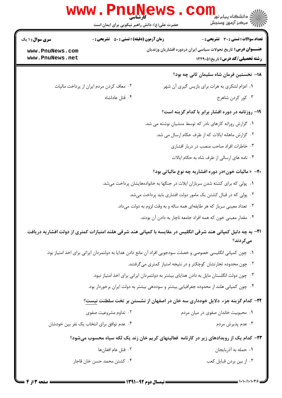|                                    | WWW . PIII<br>کارشناسہ<br>حضرت علی(ع): دانش راهبر نیکویی برای ایمان است                  |  | ٽ دانشگاه پيام نو <mark>ر</mark><br>ج ' مرڪز آزمون وسنڊش                                                                                    |  |  |
|------------------------------------|------------------------------------------------------------------------------------------|--|---------------------------------------------------------------------------------------------------------------------------------------------|--|--|
| <b>سری سوال : ۱ یک</b>             | <b>زمان آزمون (دقیقه) : تستی : 50 ٪ تشریحی : 0</b>                                       |  | <b>تعداد سوالات : تستی : 30 ٪ تشریحی : 0</b>                                                                                                |  |  |
| www.PnuNews.com<br>www.PnuNews.net |                                                                                          |  | <b>عنـــوان درس:</b> تاریخ تحولات سیاسی ایران دردوره افشاریان وزندیان<br><b>رشته تحصیلی/کد درس:</b> تاریخ1۲۲۹۰۵۱                            |  |  |
|                                    |                                                                                          |  | 18– نخستین فرمان شاه سلیمان ثانی چه بود؟                                                                                                    |  |  |
|                                    | ۰۲ معاف کردن مردم ایران از پرداخت مالیات                                                 |  | ۰۱ اعزام لشکری به هرات برای بازپس گیری آن شهر                                                                                               |  |  |
|                                    | ۰۴ قتل عادلشاه                                                                           |  | ۰۳ کور کردن شاهرخ                                                                                                                           |  |  |
|                                    |                                                                                          |  | ۱۹- روزنامه در دوره افشار برابر با کدام گزینه است؟                                                                                          |  |  |
|                                    |                                                                                          |  | ۰۱ گزارش روزانه کارهای نادر که توسط منشیان نوشته می شد.                                                                                     |  |  |
|                                    |                                                                                          |  | ۰۲ گزارش ماهانه ایالات که از طرف حکام ارسال می شد.                                                                                          |  |  |
|                                    |                                                                                          |  | ۰۳ خاطرات افراد صاحب منصب در دربار افشاری                                                                                                   |  |  |
|                                    |                                                                                          |  | ۰۴ نامه های ارسالی از طرف شاه به حکام ایالات                                                                                                |  |  |
|                                    | <b>۲۰</b> - « مالیات خون»در دوره افشاریه چه نوع مالیاتی بود؟                             |  |                                                                                                                                             |  |  |
|                                    | ۰۱ پولی که برای کشته شدن سربازان ایلات در جنگها به خانوادههایشان پرداخت میشد.            |  |                                                                                                                                             |  |  |
|                                    | ۰۲ پولی که در قبال کشتن یک مامور دولت افشاری باید پرداخت میشد.                           |  |                                                                                                                                             |  |  |
|                                    | ۰۳ تعداد معینی سرباز که هر طایفهای همه ساله و به وقت لزوم به دولت میداد.                 |  |                                                                                                                                             |  |  |
|                                    | ۰۴ مقدار معینی خون که همه افراد جامعه ناچار به دادن آن بودند.                            |  |                                                                                                                                             |  |  |
|                                    |                                                                                          |  | <b>۲۱</b> - به چه دلیل کمپانی هند شرقی انگلیس در مقایسه با کمپانی هند شرقی هلند امتیازات کمتری از دولت افشاریه دریافت<br>م <i>ی ک</i> ردند؟ |  |  |
|                                    |                                                                                          |  | ۰۱ چون کمپانی انگلیسی خصوصی و خصلت سودجویی افراد آن مانع دادن هدایا به دولتمردان ایراتی برای اخذ امتیاز بود.                                |  |  |
|                                    |                                                                                          |  | ۰۲ چون محدوده تجارتشان کوچکتر و در نتیجه امتیاز کمتری میگرفتند.                                                                             |  |  |
|                                    | ۰۳ چون دولت انگلستان مایل به دادن هدایای بیشتر به دولتمردان ایرانی برای اخذ امتیاز نبود. |  |                                                                                                                                             |  |  |
|                                    | ۰۴ چون کمپانی هلند از محدوده جغرافیایی بیشتر و سوددهی بیشتر به دولت ایران برخوردار بود.  |  |                                                                                                                                             |  |  |
|                                    |                                                                                          |  | ۲۲– کدام گزینه جزء دلایل خودداری سه خان در اصفهان از نشستن بر تخت سلطنت نیست؟                                                               |  |  |
|                                    | ۰۲ تداوم مشروعیت صفوی                                                                    |  | ۰۱ محبوبیت خاندان صفوی در میان مردم                                                                                                         |  |  |
|                                    | ۰۴ عدم توافق برای انتخاب یک نفر بین خودشان                                               |  | ۰۳ عدم پذیرش مردم                                                                                                                           |  |  |
|                                    |                                                                                          |  | ۲۳– کدام یک از رویدادهای زیر در کارنامه فعالیتهای کریم خان زند یک لکه سیاه محسوب میشود؟                                                     |  |  |
|                                    | ٢. قتل عام افغانها                                                                       |  | ٠١ حمله به أذربايجان                                                                                                                        |  |  |
|                                    | ۰۴ کشتن محمد حسن خان قاجار                                                               |  | ۰۳ از بین بردن قبایل کعب                                                                                                                    |  |  |